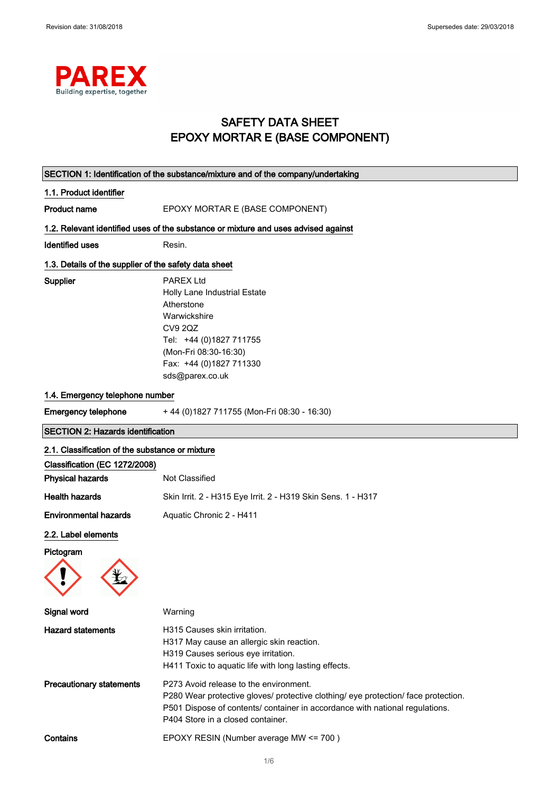

## SAFETY DATA SHEET EPOXY MORTAR E (BASE COMPONENT)

| SECTION 1: Identification of the substance/mixture and of the company/undertaking |                                                                                                                                                                                                                                                   |  |
|-----------------------------------------------------------------------------------|---------------------------------------------------------------------------------------------------------------------------------------------------------------------------------------------------------------------------------------------------|--|
| 1.1. Product identifier                                                           |                                                                                                                                                                                                                                                   |  |
| <b>Product name</b>                                                               | EPOXY MORTAR E (BASE COMPONENT)                                                                                                                                                                                                                   |  |
|                                                                                   | 1.2. Relevant identified uses of the substance or mixture and uses advised against                                                                                                                                                                |  |
| <b>Identified uses</b>                                                            | Resin.                                                                                                                                                                                                                                            |  |
| 1.3. Details of the supplier of the safety data sheet                             |                                                                                                                                                                                                                                                   |  |
| Supplier                                                                          | <b>PAREX Ltd</b><br>Holly Lane Industrial Estate<br>Atherstone<br>Warwickshire<br><b>CV9 2QZ</b><br>Tel: +44 (0)1827 711755<br>(Mon-Fri 08:30-16:30)<br>Fax: +44 (0)1827 711330<br>sds@parex.co.uk                                                |  |
| 1.4. Emergency telephone number                                                   |                                                                                                                                                                                                                                                   |  |
| <b>Emergency telephone</b>                                                        | +44 (0) 1827 711755 (Mon-Fri 08:30 - 16:30)                                                                                                                                                                                                       |  |
| <b>SECTION 2: Hazards identification</b>                                          |                                                                                                                                                                                                                                                   |  |
| 2.1. Classification of the substance or mixture                                   |                                                                                                                                                                                                                                                   |  |
| Classification (EC 1272/2008)<br><b>Physical hazards</b>                          | Not Classified                                                                                                                                                                                                                                    |  |
| <b>Health hazards</b>                                                             | Skin Irrit. 2 - H315 Eye Irrit. 2 - H319 Skin Sens. 1 - H317                                                                                                                                                                                      |  |
| <b>Environmental hazards</b>                                                      | Aquatic Chronic 2 - H411                                                                                                                                                                                                                          |  |
| 2.2. Label elements                                                               |                                                                                                                                                                                                                                                   |  |
| Pictogram                                                                         |                                                                                                                                                                                                                                                   |  |
|                                                                                   |                                                                                                                                                                                                                                                   |  |
| Signal word                                                                       | Warning                                                                                                                                                                                                                                           |  |
| <b>Hazard statements</b>                                                          | H315 Causes skin irritation.<br>H317 May cause an allergic skin reaction.<br>H319 Causes serious eye irritation.<br>H411 Toxic to aquatic life with long lasting effects.                                                                         |  |
| <b>Precautionary statements</b>                                                   | P273 Avoid release to the environment.<br>P280 Wear protective gloves/ protective clothing/ eye protection/ face protection.<br>P501 Dispose of contents/ container in accordance with national regulations.<br>P404 Store in a closed container. |  |
| Contains                                                                          | EPOXY RESIN (Number average MW <= 700)                                                                                                                                                                                                            |  |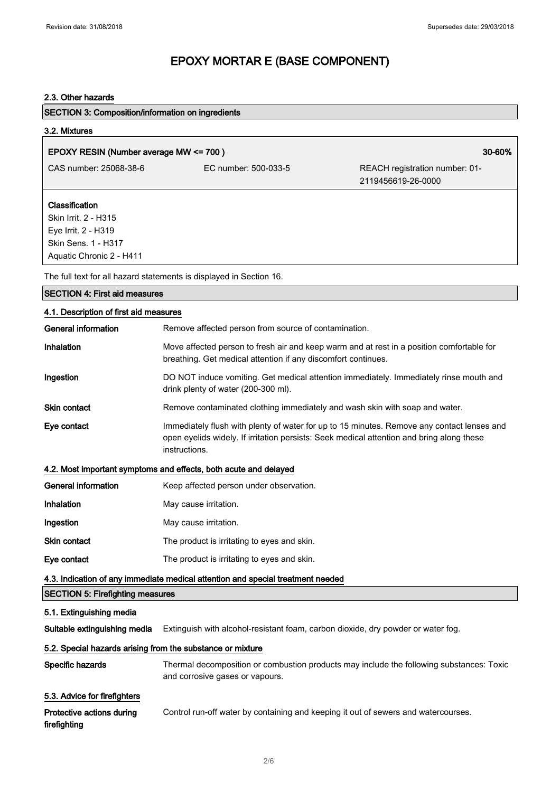### 2.3. Other hazards

| <b>SECTION 3: Composition/information on ingredients</b>                                                         |                                                                                                                                                                                                          |                                                      |
|------------------------------------------------------------------------------------------------------------------|----------------------------------------------------------------------------------------------------------------------------------------------------------------------------------------------------------|------------------------------------------------------|
| 3.2. Mixtures                                                                                                    |                                                                                                                                                                                                          |                                                      |
| EPOXY RESIN (Number average MW <= 700)                                                                           |                                                                                                                                                                                                          | 30-60%                                               |
| CAS number: 25068-38-6                                                                                           | EC number: 500-033-5                                                                                                                                                                                     | REACH registration number: 01-<br>2119456619-26-0000 |
| Classification<br>Skin Irrit. 2 - H315<br>Eye Irrit. 2 - H319<br>Skin Sens. 1 - H317<br>Aquatic Chronic 2 - H411 |                                                                                                                                                                                                          |                                                      |
|                                                                                                                  | The full text for all hazard statements is displayed in Section 16.                                                                                                                                      |                                                      |
| <b>SECTION 4: First aid measures</b>                                                                             |                                                                                                                                                                                                          |                                                      |
| 4.1. Description of first aid measures                                                                           |                                                                                                                                                                                                          |                                                      |
| <b>General information</b>                                                                                       | Remove affected person from source of contamination.                                                                                                                                                     |                                                      |
| <b>Inhalation</b>                                                                                                | Move affected person to fresh air and keep warm and at rest in a position comfortable for<br>breathing. Get medical attention if any discomfort continues.                                               |                                                      |
| Ingestion                                                                                                        | DO NOT induce vomiting. Get medical attention immediately. Immediately rinse mouth and<br>drink plenty of water (200-300 ml).                                                                            |                                                      |
| <b>Skin contact</b>                                                                                              | Remove contaminated clothing immediately and wash skin with soap and water.                                                                                                                              |                                                      |
| Eye contact                                                                                                      | Immediately flush with plenty of water for up to 15 minutes. Remove any contact lenses and<br>open eyelids widely. If irritation persists: Seek medical attention and bring along these<br>instructions. |                                                      |
|                                                                                                                  | 4.2. Most important symptoms and effects, both acute and delayed                                                                                                                                         |                                                      |
| <b>General information</b>                                                                                       | Keep affected person under observation.                                                                                                                                                                  |                                                      |
| Inhalation                                                                                                       | May cause irritation.                                                                                                                                                                                    |                                                      |
| Ingestion                                                                                                        | May cause irritation.                                                                                                                                                                                    |                                                      |
| Skin contact                                                                                                     | The product is irritating to eyes and skin.                                                                                                                                                              |                                                      |
| Eye contact                                                                                                      | The product is irritating to eyes and skin.                                                                                                                                                              |                                                      |
|                                                                                                                  | 4.3. Indication of any immediate medical attention and special treatment needed                                                                                                                          |                                                      |
| <b>SECTION 5: Firefighting measures</b>                                                                          |                                                                                                                                                                                                          |                                                      |
| 5.1. Extinguishing media                                                                                         |                                                                                                                                                                                                          |                                                      |
| Suitable extinguishing media                                                                                     | Extinguish with alcohol-resistant foam, carbon dioxide, dry powder or water fog.                                                                                                                         |                                                      |
| 5.2. Special hazards arising from the substance or mixture                                                       |                                                                                                                                                                                                          |                                                      |
| Specific hazards                                                                                                 | Thermal decomposition or combustion products may include the following substances: Toxic<br>and corrosive gases or vapours.                                                                              |                                                      |
| 5.3. Advice for firefighters<br>Protective actions during<br>firefighting                                        | Control run-off water by containing and keeping it out of sewers and watercourses.                                                                                                                       |                                                      |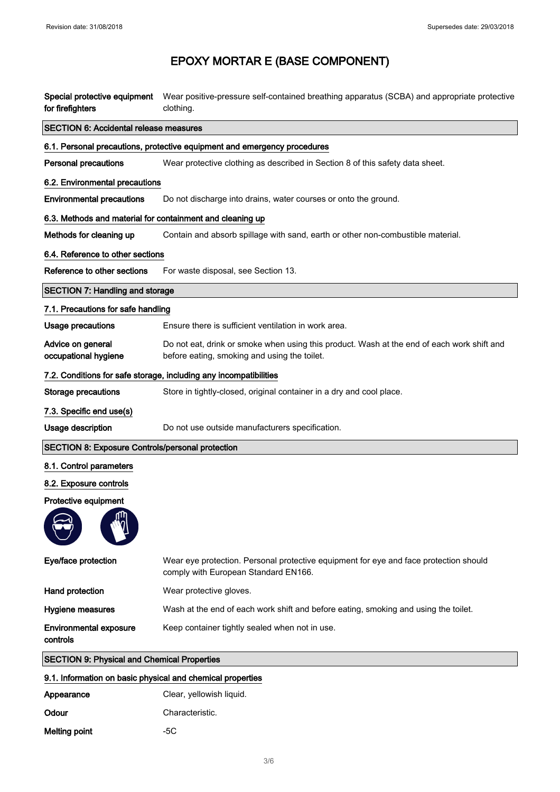| for firefighters                                          | Special protective equipment Wear positive-pressure self-contained breathing apparatus (SCBA) and appropriate protective<br>clothing.      |
|-----------------------------------------------------------|--------------------------------------------------------------------------------------------------------------------------------------------|
| <b>SECTION 6: Accidental release measures</b>             |                                                                                                                                            |
|                                                           | 6.1. Personal precautions, protective equipment and emergency procedures                                                                   |
| <b>Personal precautions</b>                               | Wear protective clothing as described in Section 8 of this safety data sheet.                                                              |
| 6.2. Environmental precautions                            |                                                                                                                                            |
| <b>Environmental precautions</b>                          | Do not discharge into drains, water courses or onto the ground.                                                                            |
| 6.3. Methods and material for containment and cleaning up |                                                                                                                                            |
| Methods for cleaning up                                   | Contain and absorb spillage with sand, earth or other non-combustible material.                                                            |
| 6.4. Reference to other sections                          |                                                                                                                                            |
| Reference to other sections                               | For waste disposal, see Section 13.                                                                                                        |
| <b>SECTION 7: Handling and storage</b>                    |                                                                                                                                            |
| 7.1. Precautions for safe handling                        |                                                                                                                                            |
| <b>Usage precautions</b>                                  | Ensure there is sufficient ventilation in work area.                                                                                       |
| Advice on general<br>occupational hygiene                 | Do not eat, drink or smoke when using this product. Wash at the end of each work shift and<br>before eating, smoking and using the toilet. |
|                                                           | 7.2. Conditions for safe storage, including any incompatibilities                                                                          |
| <b>Storage precautions</b>                                | Store in tightly-closed, original container in a dry and cool place.                                                                       |
| 7.3. Specific end use(s)                                  |                                                                                                                                            |
| Usage description                                         | Do not use outside manufacturers specification.                                                                                            |
| <b>SECTION 8: Exposure Controls/personal protection</b>   |                                                                                                                                            |
| 8.1. Control parameters                                   |                                                                                                                                            |
| 8.2. Exposure controls                                    |                                                                                                                                            |
| Protective equipment                                      |                                                                                                                                            |
| ጠ.                                                        |                                                                                                                                            |
| Eye/face protection                                       | Wear eye protection. Personal protective equipment for eye and face protection should<br>comply with European Standard EN166.              |
| Hand protection                                           | Wear protective gloves.                                                                                                                    |
| Hygiene measures                                          | Wash at the end of each work shift and before eating, smoking and using the toilet.                                                        |
| <b>Environmental exposure</b><br>controls                 | Keep container tightly sealed when not in use.                                                                                             |
| <b>SECTION 9: Physical and Chemical Properties</b>        |                                                                                                                                            |

### 9.1. Information on basic physical and chemical properties

| Appearance    | Clear, yellowish liquid. |
|---------------|--------------------------|
| Odour         | Characteristic.          |
| Melting point | -50                      |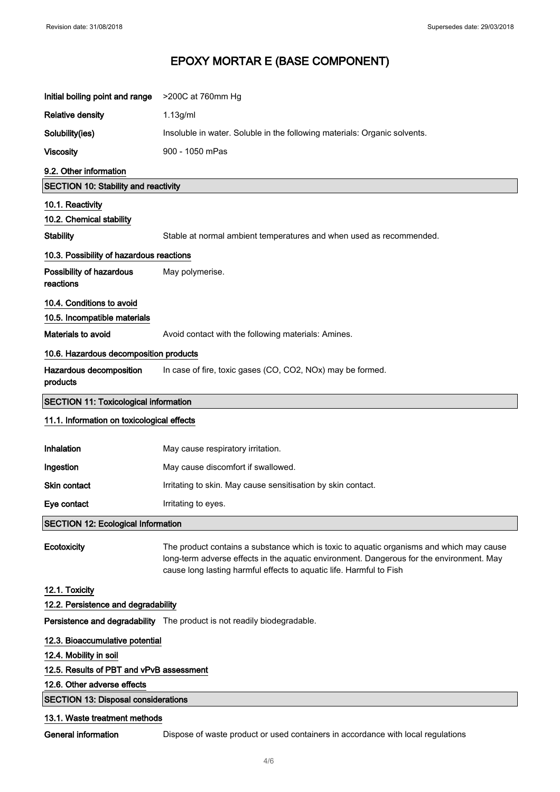| Initial boiling point and range              | >200C at 760mm Hg                                                                                                                                                                                                                                           |  |
|----------------------------------------------|-------------------------------------------------------------------------------------------------------------------------------------------------------------------------------------------------------------------------------------------------------------|--|
| <b>Relative density</b>                      | 1.13g/ml                                                                                                                                                                                                                                                    |  |
| Solubility(ies)                              | Insoluble in water. Soluble in the following materials: Organic solvents.                                                                                                                                                                                   |  |
| <b>Viscosity</b>                             | 900 - 1050 mPas                                                                                                                                                                                                                                             |  |
| 9.2. Other information                       |                                                                                                                                                                                                                                                             |  |
| <b>SECTION 10: Stability and reactivity</b>  |                                                                                                                                                                                                                                                             |  |
| 10.1. Reactivity                             |                                                                                                                                                                                                                                                             |  |
| 10.2. Chemical stability                     |                                                                                                                                                                                                                                                             |  |
| <b>Stability</b>                             | Stable at normal ambient temperatures and when used as recommended.                                                                                                                                                                                         |  |
| 10.3. Possibility of hazardous reactions     |                                                                                                                                                                                                                                                             |  |
| Possibility of hazardous<br>reactions        | May polymerise.                                                                                                                                                                                                                                             |  |
| 10.4. Conditions to avoid                    |                                                                                                                                                                                                                                                             |  |
| 10.5. Incompatible materials                 |                                                                                                                                                                                                                                                             |  |
| Materials to avoid                           | Avoid contact with the following materials: Amines.                                                                                                                                                                                                         |  |
| 10.6. Hazardous decomposition products       |                                                                                                                                                                                                                                                             |  |
| Hazardous decomposition<br>products          | In case of fire, toxic gases (CO, CO2, NOx) may be formed.                                                                                                                                                                                                  |  |
| <b>SECTION 11: Toxicological information</b> |                                                                                                                                                                                                                                                             |  |
| 11.1. Information on toxicological effects   |                                                                                                                                                                                                                                                             |  |
| Inhalation                                   | May cause respiratory irritation.                                                                                                                                                                                                                           |  |
| Ingestion                                    | May cause discomfort if swallowed.                                                                                                                                                                                                                          |  |
|                                              |                                                                                                                                                                                                                                                             |  |
| Skin contact                                 | Irritating to skin. May cause sensitisation by skin contact.                                                                                                                                                                                                |  |
| Eye contact                                  | Irritating to eyes.                                                                                                                                                                                                                                         |  |
| <b>SECTION 12: Ecological Information</b>    |                                                                                                                                                                                                                                                             |  |
| Ecotoxicity                                  | The product contains a substance which is toxic to aquatic organisms and which may cause<br>long-term adverse effects in the aquatic environment. Dangerous for the environment. May<br>cause long lasting harmful effects to aquatic life. Harmful to Fish |  |
| 12.1. Toxicity                               |                                                                                                                                                                                                                                                             |  |
| 12.2. Persistence and degradability          |                                                                                                                                                                                                                                                             |  |
|                                              | Persistence and degradability The product is not readily biodegradable.                                                                                                                                                                                     |  |
| 12.3. Bioaccumulative potential              |                                                                                                                                                                                                                                                             |  |
| 12.4. Mobility in soil                       |                                                                                                                                                                                                                                                             |  |
| 12.5. Results of PBT and vPvB assessment     |                                                                                                                                                                                                                                                             |  |
| 12.6. Other adverse effects                  |                                                                                                                                                                                                                                                             |  |
| <b>SECTION 13: Disposal considerations</b>   |                                                                                                                                                                                                                                                             |  |

General information **Dispose of waste product or used containers in accordance with local regulations**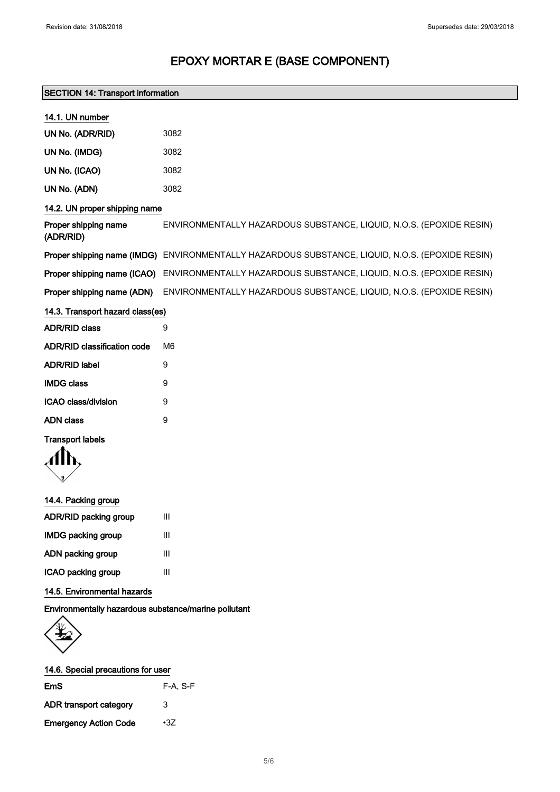### SECTION 14: Transport information

| 14.1. UN number                    |                                                                                                 |
|------------------------------------|-------------------------------------------------------------------------------------------------|
| UN No. (ADR/RID)                   | 3082                                                                                            |
| UN No. (IMDG)                      | 3082                                                                                            |
| UN No. (ICAO)                      | 3082                                                                                            |
| UN No. (ADN)                       | 3082                                                                                            |
| 14.2. UN proper shipping name      |                                                                                                 |
| Proper shipping name<br>(ADR/RID)  | ENVIRONMENTALLY HAZARDOUS SUBSTANCE, LIQUID, N.O.S. (EPOXIDE RESIN)                             |
|                                    | Proper shipping name (IMDG) ENVIRONMENTALLY HAZARDOUS SUBSTANCE, LIQUID, N.O.S. (EPOXIDE RESIN) |
| Proper shipping name (ICAO)        | ENVIRONMENTALLY HAZARDOUS SUBSTANCE, LIQUID, N.O.S. (EPOXIDE RESIN)                             |
| Proper shipping name (ADN)         | ENVIRONMENTALLY HAZARDOUS SUBSTANCE, LIQUID, N.O.S. (EPOXIDE RESIN)                             |
| 14.3. Transport hazard class(es)   |                                                                                                 |
| <b>ADR/RID class</b>               | 9                                                                                               |
| <b>ADR/RID classification code</b> | M <sub>6</sub>                                                                                  |
| <b>ADR/RID label</b>               | 9                                                                                               |
| <b>IMDG class</b>                  | 9                                                                                               |
| ICAO class/division                | 9                                                                                               |
| <b>ADN</b> class                   | 9                                                                                               |
| <b>Transport labels</b>            |                                                                                                 |
|                                    |                                                                                                 |
|                                    |                                                                                                 |
| 14.4. Packing group                |                                                                                                 |
| ADR/RID packing group              | $\mathbf{III}$                                                                                  |
| <b>IMDG packing group</b>          | $\mathbf{III}$                                                                                  |
| ADN packing group                  | Ш                                                                                               |

ICAO packing group III

14.5. Environmental hazards

Environmentally hazardous substance/marine pollutant



| 14.6. Special precautions for user |            |
|------------------------------------|------------|
| EmS                                | $F-A. S-F$ |
| <b>ADR</b> transport category      | 3          |
| <b>Emergency Action Code</b>       | $\cdot 37$ |